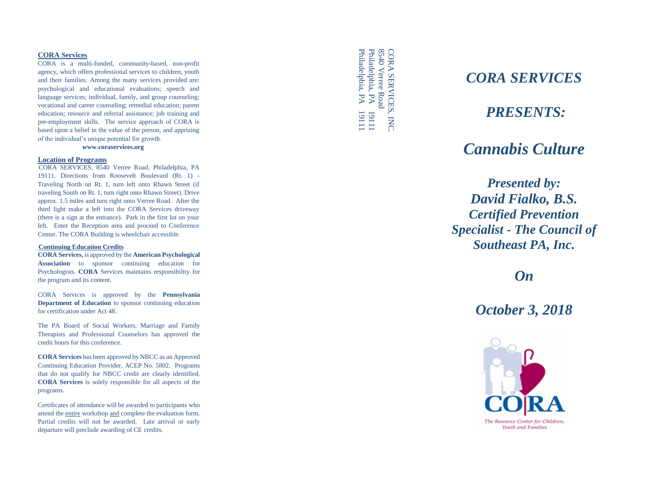#### **CORA Services**

CORA is a multi -funded, community -based, non -profit agency, which offers professional services to children, youth and their families. Among the many services provided are: psychological and educational evaluations; speech and language services; individual, family, and group counseling; vocational and career counseling; remedial education; parent education; resource and referral assistance; job training and pre -employment skills. The service approach of CORA is based upon a belief in the value of the person, and apprizing of the individual's unique potential for growth.

**www.coraservices.org**

#### **Location of Programs**

CORA SERVICES, 8540 Verree Road, Philadelphia, PA 19111. Directions from Roosevelt Boulevard (Rt. 1) - Traveling North on Rt. 1, turn left onto Rhawn Street (if traveling South on Rt. 1, turn right onto Rhawn Street). Drive approx. 1.5 miles and turn right onto Verree Road. After the third light make a left into the CORA Services driveway (there is a sign at the entrance). Park in the first lot on your left. Enter the Reception area and proceed to Conference Center. The CORA Building is wheelchair accessible.

#### **Continuing Education Credits**

**CORA Services,** is approved by the **American Psychological Association** to sponsor continuing education for Psychologists. **CORA** Services maintains responsibility for the program and its content.

CORA Services is approved by the **Pennsylvania Department of Education** to sponsor continuing education for certification under Act 48.

The PA Board of Social Workers, Marriage and Family Therapists and Professional Counselors has approved the credit hours for this conference.

**CORA Services** has been approved by NBCC as an Approved Continuing Education Provider, ACEP No. 5802. Programs that do not qualify for NBCC credit are clearly identified. **CORA Services** is solely responsible for all aspects of the programs.

Certificates of attendance will be awarded to participants who attend the entire workshop and complete the evaluation form. Partial credits will not be awarded. Late arrival or early departure will preclude awarding of CE credits.

Philadelphia, PA<br>Philadelphia, PA 8540 Verree Road Philadelphia, PA 19111Philadelphia, PA 8540 Verree Road **CORA SERVICES** CORA SERVICES, INC. 11111<br>11116<br>1 INC.

## *CORA SERVICES*

## *PRESENTS:*

# *Cannabis Culture*

*Presented by: David Fialko, B.S. Certified Prevention Specialist - The Council of Southeast PA, Inc.*

*On*

## *October 3, 2018*